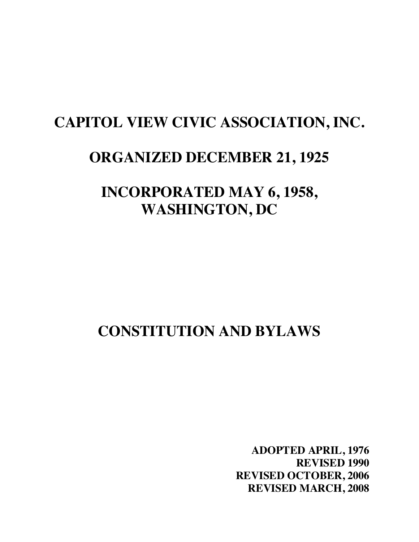## **CAPITOL VIEW CIVIC ASSOCIATION, INC.**

## **ORGANIZED DECEMBER 21, 1925**

**INCORPORATED MAY 6, 1958, WASHINGTON, DC**

# **CONSTITUTION AND BYLAWS**

**ADOPTED APRIL, 1976 REVISED 1990 REVISED OCTOBER, 2006 REVISED MARCH, 2008**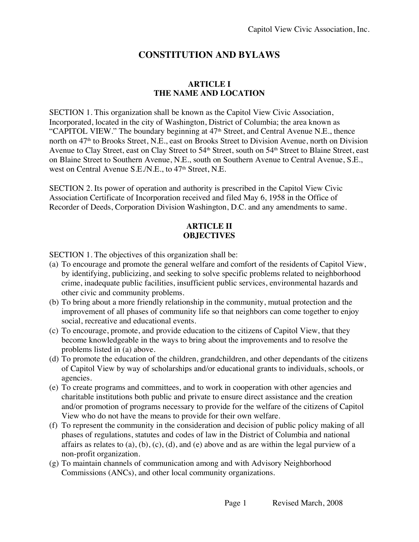## **CONSTITUTION AND BYLAWS**

#### **ARTICLE I THE NAME AND LOCATION**

SECTION 1. This organization shall be known as the Capitol View Civic Association, Incorporated, located in the city of Washington, District of Columbia; the area known as "CAPITOL VIEW." The boundary beginning at  $47<sup>th</sup>$  Street, and Central Avenue N.E., thence north on 47<sup>th</sup> to Brooks Street, N.E., east on Brooks Street to Division Avenue, north on Division Avenue to Clay Street, east on Clay Street to 54<sup>th</sup> Street, south on 54<sup>th</sup> Street to Blaine Street, east on Blaine Street to Southern Avenue, N.E., south on Southern Avenue to Central Avenue, S.E., west on Central Avenue S.E./N.E., to 47<sup>th</sup> Street, N.E.

SECTION 2. Its power of operation and authority is prescribed in the Capitol View Civic Association Certificate of Incorporation received and filed May 6, 1958 in the Office of Recorder of Deeds, Corporation Division Washington, D.C. and any amendments to same.

#### **ARTICLE II OBJECTIVES**

SECTION 1. The objectives of this organization shall be:

- (a) To encourage and promote the general welfare and comfort of the residents of Capitol View, by identifying, publicizing, and seeking to solve specific problems related to neighborhood crime, inadequate public facilities, insufficient public services, environmental hazards and other civic and community problems.
- (b) To bring about a more friendly relationship in the community, mutual protection and the improvement of all phases of community life so that neighbors can come together to enjoy social, recreative and educational events.
- (c) To encourage, promote, and provide education to the citizens of Capitol View, that they become knowledgeable in the ways to bring about the improvements and to resolve the problems listed in (a) above.
- (d) To promote the education of the children, grandchildren, and other dependants of the citizens of Capitol View by way of scholarships and/or educational grants to individuals, schools, or agencies.
- (e) To create programs and committees, and to work in cooperation with other agencies and charitable institutions both public and private to ensure direct assistance and the creation and/or promotion of programs necessary to provide for the welfare of the citizens of Capitol View who do not have the means to provide for their own welfare.
- (f) To represent the community in the consideration and decision of public policy making of all phases of regulations, statutes and codes of law in the District of Columbia and national affairs as relates to  $(a)$ ,  $(b)$ ,  $(c)$ ,  $(d)$ , and  $(e)$  above and as are within the legal purview of a non-profit organization.
- (g) To maintain channels of communication among and with Advisory Neighborhood Commissions (ANCs), and other local community organizations.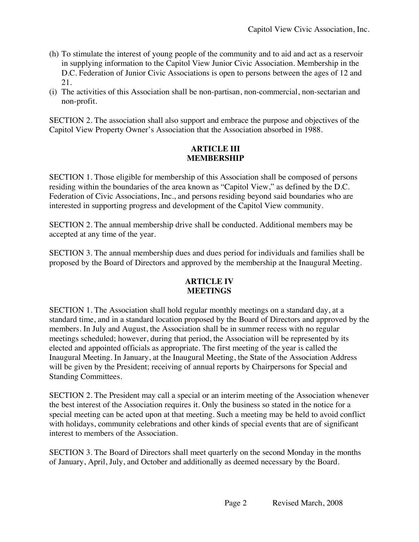- (h) To stimulate the interest of young people of the community and to aid and act as a reservoir in supplying information to the Capitol View Junior Civic Association. Membership in the D.C. Federation of Junior Civic Associations is open to persons between the ages of 12 and 21.
- (i) The activities of this Association shall be non-partisan, non-commercial, non-sectarian and non-profit.

SECTION 2. The association shall also support and embrace the purpose and objectives of the Capitol View Property Owner's Association that the Association absorbed in 1988.

### **ARTICLE III MEMBERSHIP**

SECTION 1. Those eligible for membership of this Association shall be composed of persons residing within the boundaries of the area known as "Capitol View," as defined by the D.C. Federation of Civic Associations, Inc., and persons residing beyond said boundaries who are interested in supporting progress and development of the Capitol View community.

SECTION 2. The annual membership drive shall be conducted. Additional members may be accepted at any time of the year.

SECTION 3. The annual membership dues and dues period for individuals and families shall be proposed by the Board of Directors and approved by the membership at the Inaugural Meeting.

#### **ARTICLE IV MEETINGS**

SECTION 1. The Association shall hold regular monthly meetings on a standard day, at a standard time, and in a standard location proposed by the Board of Directors and approved by the members. In July and August, the Association shall be in summer recess with no regular meetings scheduled; however, during that period, the Association will be represented by its elected and appointed officials as appropriate. The first meeting of the year is called the Inaugural Meeting. In January, at the Inaugural Meeting, the State of the Association Address will be given by the President; receiving of annual reports by Chairpersons for Special and Standing Committees.

SECTION 2. The President may call a special or an interim meeting of the Association whenever the best interest of the Association requires it. Only the business so stated in the notice for a special meeting can be acted upon at that meeting. Such a meeting may be held to avoid conflict with holidays, community celebrations and other kinds of special events that are of significant interest to members of the Association.

SECTION 3. The Board of Directors shall meet quarterly on the second Monday in the months of January, April, July, and October and additionally as deemed necessary by the Board.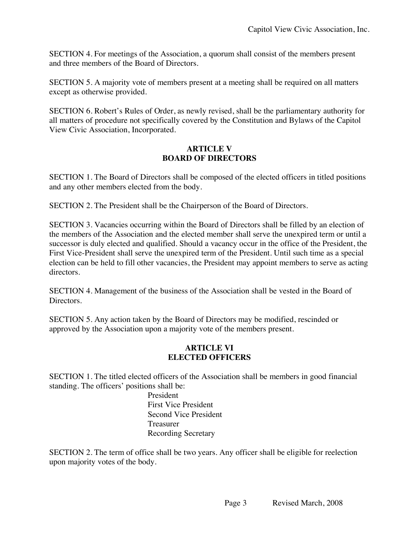SECTION 4. For meetings of the Association, a quorum shall consist of the members present and three members of the Board of Directors.

SECTION 5. A majority vote of members present at a meeting shall be required on all matters except as otherwise provided.

SECTION 6. Robert's Rules of Order, as newly revised, shall be the parliamentary authority for all matters of procedure not specifically covered by the Constitution and Bylaws of the Capitol View Civic Association, Incorporated.

#### **ARTICLE V BOARD OF DIRECTORS**

SECTION 1. The Board of Directors shall be composed of the elected officers in titled positions and any other members elected from the body.

SECTION 2. The President shall be the Chairperson of the Board of Directors.

SECTION 3. Vacancies occurring within the Board of Directors shall be filled by an election of the members of the Association and the elected member shall serve the unexpired term or until a successor is duly elected and qualified. Should a vacancy occur in the office of the President, the First Vice-President shall serve the unexpired term of the President. Until such time as a special election can be held to fill other vacancies, the President may appoint members to serve as acting directors.

SECTION 4. Management of the business of the Association shall be vested in the Board of Directors.

SECTION 5. Any action taken by the Board of Directors may be modified, rescinded or approved by the Association upon a majority vote of the members present.

#### **ARTICLE VI ELECTED OFFICERS**

SECTION 1. The titled elected officers of the Association shall be members in good financial standing. The officers' positions shall be:

President First Vice President Second Vice President Treasurer Recording Secretary

SECTION 2. The term of office shall be two years. Any officer shall be eligible for reelection upon majority votes of the body.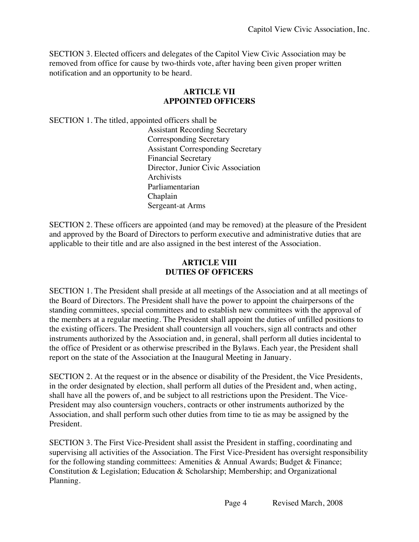SECTION 3. Elected officers and delegates of the Capitol View Civic Association may be removed from office for cause by two-thirds vote, after having been given proper written notification and an opportunity to be heard.

#### **ARTICLE VII APPOINTED OFFICERS**

SECTION 1. The titled, appointed officers shall be

Assistant Recording Secretary Corresponding Secretary Assistant Corresponding Secretary Financial Secretary Director, Junior Civic Association **Archivists** Parliamentarian Chaplain Sergeant-at Arms

SECTION 2. These officers are appointed (and may be removed) at the pleasure of the President and approved by the Board of Directors to perform executive and administrative duties that are applicable to their title and are also assigned in the best interest of the Association.

#### **ARTICLE VIII DUTIES OF OFFICERS**

SECTION 1. The President shall preside at all meetings of the Association and at all meetings of the Board of Directors. The President shall have the power to appoint the chairpersons of the standing committees, special committees and to establish new committees with the approval of the members at a regular meeting. The President shall appoint the duties of unfilled positions to the existing officers. The President shall countersign all vouchers, sign all contracts and other instruments authorized by the Association and, in general, shall perform all duties incidental to the office of President or as otherwise prescribed in the Bylaws. Each year, the President shall report on the state of the Association at the Inaugural Meeting in January.

SECTION 2. At the request or in the absence or disability of the President, the Vice Presidents, in the order designated by election, shall perform all duties of the President and, when acting, shall have all the powers of, and be subject to all restrictions upon the President. The Vice-President may also countersign vouchers, contracts or other instruments authorized by the Association, and shall perform such other duties from time to tie as may be assigned by the President.

SECTION 3. The First Vice-President shall assist the President in staffing, coordinating and supervising all activities of the Association. The First Vice-President has oversight responsibility for the following standing committees: Amenities & Annual Awards; Budget & Finance; Constitution & Legislation; Education & Scholarship; Membership; and Organizational Planning.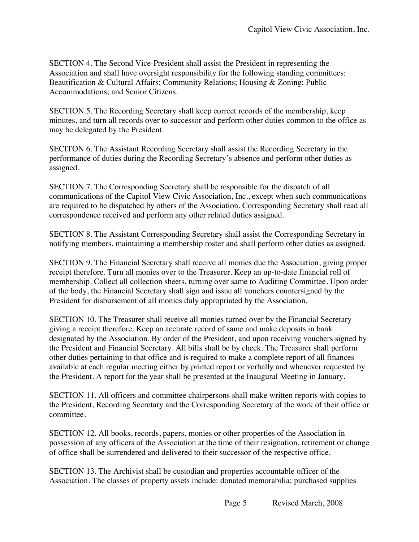SECTION 4. The Second Vice-President shall assist the President in representing the Association and shall have oversight responsibility for the following standing committees: Beautification & Cultural Affairs; Community Relations; Housing & Zoning; Public Accommodations; and Senior Citizens.

SECTION 5. The Recording Secretary shall keep correct records of the membership, keep minutes, and turn all records over to successor and perform other duties common to the office as may be delegated by the President.

SECITON 6. The Assistant Recording Secretary shall assist the Recording Secretary in the performance of duties during the Recording Secretary's absence and perform other duties as assigned.

SECTION 7. The Corresponding Secretary shall be responsible for the dispatch of all communications of the Capitol View Civic Association, Inc., except when such communications are required to be dispatched by others of the Association. Corresponding Secretary shall read all correspondence received and perform any other related duties assigned.

SECTION 8. The Assistant Corresponding Secretary shall assist the Corresponding Secretary in notifying members, maintaining a membership roster and shall perform other duties as assigned.

SECTION 9. The Financial Secretary shall receive all monies due the Association, giving proper receipt therefore. Turn all monies over to the Treasurer. Keep an up-to-date financial roll of membership. Collect all collection sheets, turning over same to Auditing Committee. Upon order of the body, the Financial Secretary shall sign and issue all vouchers countersigned by the President for disbursement of all monies duly appropriated by the Association.

SECTION 10. The Treasurer shall receive all monies turned over by the Financial Secretary giving a receipt therefore. Keep an accurate record of same and make deposits in bank designated by the Association. By order of the President, and upon receiving vouchers signed by the President and Financial Secretary. All bills shall be by check. The Treasurer shall perform other duties pertaining to that office and is required to make a complete report of all finances available at each regular meeting either by printed report or verbally and whenever requested by the President. A report for the year shall be presented at the Inaugural Meeting in January.

SECTION 11. All officers and committee chairpersons shall make written reports with copies to the President, Recording Secretary and the Corresponding Secretary of the work of their office or committee.

SECTION 12. All books, records, papers, monies or other properties of the Association in possession of any officers of the Association at the time of their resignation, retirement or change of office shall be surrendered and delivered to their successor of the respective office.

SECTION 13. The Archivist shall be custodian and properties accountable officer of the Association. The classes of property assets include: donated memorabilia; purchased supplies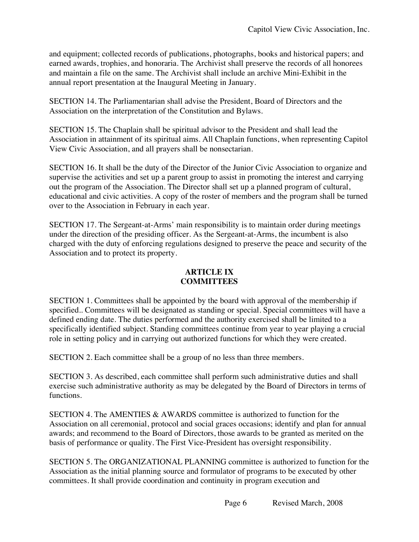and equipment; collected records of publications, photographs, books and historical papers; and earned awards, trophies, and honoraria. The Archivist shall preserve the records of all honorees and maintain a file on the same. The Archivist shall include an archive Mini-Exhibit in the annual report presentation at the Inaugural Meeting in January.

SECTION 14. The Parliamentarian shall advise the President, Board of Directors and the Association on the interpretation of the Constitution and Bylaws.

SECTION 15. The Chaplain shall be spiritual advisor to the President and shall lead the Association in attainment of its spiritual aims. All Chaplain functions, when representing Capitol View Civic Association, and all prayers shall be nonsectarian.

SECTION 16. It shall be the duty of the Director of the Junior Civic Association to organize and supervise the activities and set up a parent group to assist in promoting the interest and carrying out the program of the Association. The Director shall set up a planned program of cultural, educational and civic activities. A copy of the roster of members and the program shall be turned over to the Association in February in each year.

SECTION 17. The Sergeant-at-Arms' main responsibility is to maintain order during meetings under the direction of the presiding officer. As the Sergeant-at-Arms, the incumbent is also charged with the duty of enforcing regulations designed to preserve the peace and security of the Association and to protect its property.

#### **ARTICLE IX COMMITTEES**

SECTION 1. Committees shall be appointed by the board with approval of the membership if specified.. Committees will be designated as standing or special. Special committees will have a defined ending date. The duties performed and the authority exercised shall be limited to a specifically identified subject. Standing committees continue from year to year playing a crucial role in setting policy and in carrying out authorized functions for which they were created.

SECTION 2. Each committee shall be a group of no less than three members.

SECTION 3. As described, each committee shall perform such administrative duties and shall exercise such administrative authority as may be delegated by the Board of Directors in terms of functions.

SECTION 4. The AMENTIES & AWARDS committee is authorized to function for the Association on all ceremonial, protocol and social graces occasions; identify and plan for annual awards; and recommend to the Board of Directors, those awards to be granted as merited on the basis of performance or quality. The First Vice-President has oversight responsibility.

SECTION 5. The ORGANIZATIONAL PLANNING committee is authorized to function for the Association as the initial planning source and formulator of programs to be executed by other committees. It shall provide coordination and continuity in program execution and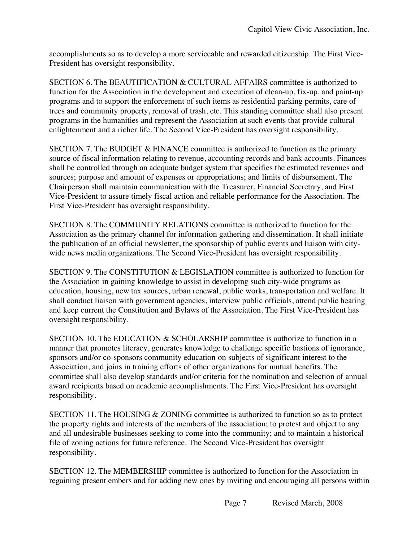accomplishments so as to develop a more serviceable and rewarded citizenship. The First Vice-President has oversight responsibility.

SECTION 6. The BEAUTIFICATION & CULTURAL AFFAIRS committee is authorized to function for the Association in the development and execution of clean-up, fix-up, and paint-up programs and to support the enforcement of such items as residential parking permits, care of trees and community property, removal of trash, etc. This standing committee shall also present programs in the humanities and represent the Association at such events that provide cultural enlightenment and a richer life. The Second Vice-President has oversight responsibility.

SECTION 7. The BUDGET & FINANCE committee is authorized to function as the primary source of fiscal information relating to revenue, accounting records and bank accounts. Finances shall be controlled through an adequate budget system that specifies the estimated revenues and sources; purpose and amount of expenses or appropriations; and limits of disbursement. The Chairperson shall maintain communication with the Treasurer, Financial Secretary, and First Vice-President to assure timely fiscal action and reliable performance for the Association. The First Vice-President has oversight responsibility.

SECTION 8. The COMMUNITY RELATIONS committee is authorized to function for the Association as the primary channel for information gathering and dissemination. It shall initiate the publication of an official newsletter, the sponsorship of public events and liaison with citywide news media organizations. The Second Vice-President has oversight responsibility.

SECTION 9. The CONSTITUTION & LEGISLATION committee is authorized to function for the Association in gaining knowledge to assist in developing such city-wide programs as education, housing, new tax sources, urban renewal, public works, transportation and welfare. It shall conduct liaison with government agencies, interview public officials, attend public hearing and keep current the Constitution and Bylaws of the Association. The First Vice-President has oversight responsibility.

SECTION 10. The EDUCATION & SCHOLARSHIP committee is authorize to function in a manner that promotes literacy, generates knowledge to challenge specific bastions of ignorance, sponsors and/or co-sponsors community education on subjects of significant interest to the Association, and joins in training efforts of other organizations for mutual benefits. The committee shall also develop standards and/or criteria for the nomination and selection of annual award recipients based on academic accomplishments. The First Vice-President has oversight responsibility.

SECTION 11. The HOUSING & ZONING committee is authorized to function so as to protect the property rights and interests of the members of the association; to protest and object to any and all undesirable businesses seeking to come into the community; and to maintain a historical file of zoning actions for future reference. The Second Vice-President has oversight responsibility.

SECTION 12. The MEMBERSHIP committee is authorized to function for the Association in regaining present embers and for adding new ones by inviting and encouraging all persons within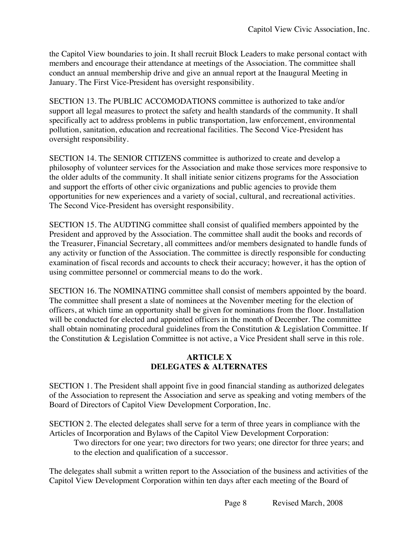the Capitol View boundaries to join. It shall recruit Block Leaders to make personal contact with members and encourage their attendance at meetings of the Association. The committee shall conduct an annual membership drive and give an annual report at the Inaugural Meeting in January. The First Vice-President has oversight responsibility.

SECTION 13. The PUBLIC ACCOMODATIONS committee is authorized to take and/or support all legal measures to protect the safety and health standards of the community. It shall specifically act to address problems in public transportation, law enforcement, environmental pollution, sanitation, education and recreational facilities. The Second Vice-President has oversight responsibility.

SECTION 14. The SENIOR CITIZENS committee is authorized to create and develop a philosophy of volunteer services for the Association and make those services more responsive to the older adults of the community. It shall initiate senior citizens programs for the Association and support the efforts of other civic organizations and public agencies to provide them opportunities for new experiences and a variety of social, cultural, and recreational activities. The Second Vice-President has oversight responsibility.

SECTION 15. The AUDTING committee shall consist of qualified members appointed by the President and approved by the Association. The committee shall audit the books and records of the Treasurer, Financial Secretary, all committees and/or members designated to handle funds of any activity or function of the Association. The committee is directly responsible for conducting examination of fiscal records and accounts to check their accuracy; however, it has the option of using committee personnel or commercial means to do the work.

SECTION 16. The NOMINATING committee shall consist of members appointed by the board. The committee shall present a slate of nominees at the November meeting for the election of officers, at which time an opportunity shall be given for nominations from the floor. Installation will be conducted for elected and appointed officers in the month of December. The committee shall obtain nominating procedural guidelines from the Constitution & Legislation Committee. If the Constitution & Legislation Committee is not active, a Vice President shall serve in this role.

## **ARTICLE X DELEGATES & ALTERNATES**

SECTION 1. The President shall appoint five in good financial standing as authorized delegates of the Association to represent the Association and serve as speaking and voting members of the Board of Directors of Capitol View Development Corporation, Inc.

SECTION 2. The elected delegates shall serve for a term of three years in compliance with the Articles of Incorporation and Bylaws of the Capitol View Development Corporation:

Two directors for one year; two directors for two years; one director for three years; and to the election and qualification of a successor.

The delegates shall submit a written report to the Association of the business and activities of the Capitol View Development Corporation within ten days after each meeting of the Board of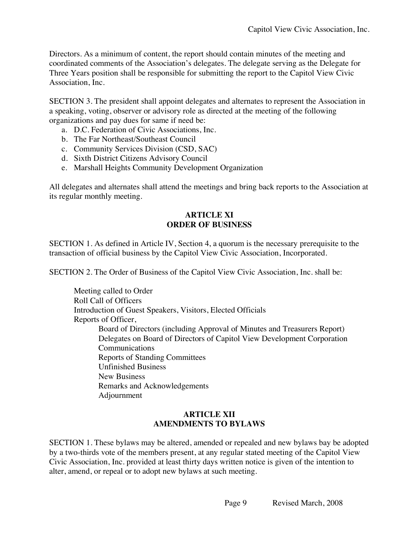Directors. As a minimum of content, the report should contain minutes of the meeting and coordinated comments of the Association's delegates. The delegate serving as the Delegate for Three Years position shall be responsible for submitting the report to the Capitol View Civic Association, Inc.

SECTION 3. The president shall appoint delegates and alternates to represent the Association in a speaking, voting, observer or advisory role as directed at the meeting of the following organizations and pay dues for same if need be:

- a. D.C. Federation of Civic Associations, Inc.
- b. The Far Northeast/Southeast Council
- c. Community Services Division (CSD, SAC)
- d. Sixth District Citizens Advisory Council
- e. Marshall Heights Community Development Organization

All delegates and alternates shall attend the meetings and bring back reports to the Association at its regular monthly meeting.

#### **ARTICLE XI ORDER OF BUSINESS**

SECTION 1. As defined in Article IV, Section 4, a quorum is the necessary prerequisite to the transaction of official business by the Capitol View Civic Association, Incorporated.

SECTION 2. The Order of Business of the Capitol View Civic Association, Inc. shall be:

Meeting called to Order Roll Call of Officers Introduction of Guest Speakers, Visitors, Elected Officials Reports of Officer, Board of Directors (including Approval of Minutes and Treasurers Report) Delegates on Board of Directors of Capitol View Development Corporation Communications Reports of Standing Committees Unfinished Business New Business Remarks and Acknowledgements Adjournment

#### **ARTICLE XII AMENDMENTS TO BYLAWS**

SECTION 1. These bylaws may be altered, amended or repealed and new bylaws bay be adopted by a two-thirds vote of the members present, at any regular stated meeting of the Capitol View Civic Association, Inc. provided at least thirty days written notice is given of the intention to alter, amend, or repeal or to adopt new bylaws at such meeting.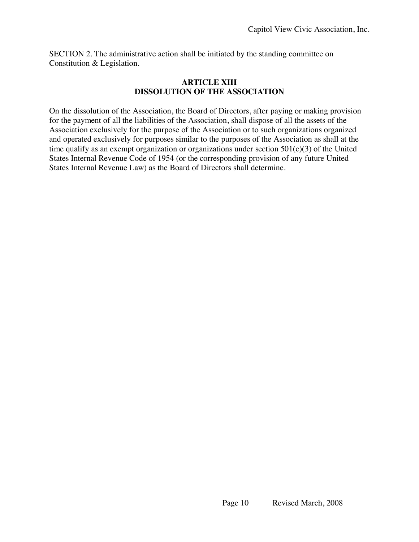SECTION 2. The administrative action shall be initiated by the standing committee on Constitution & Legislation.

#### **ARTICLE XIII DISSOLUTION OF THE ASSOCIATION**

On the dissolution of the Association, the Board of Directors, after paying or making provision for the payment of all the liabilities of the Association, shall dispose of all the assets of the Association exclusively for the purpose of the Association or to such organizations organized and operated exclusively for purposes similar to the purposes of the Association as shall at the time qualify as an exempt organization or organizations under section  $501(c)(3)$  of the United States Internal Revenue Code of 1954 (or the corresponding provision of any future United States Internal Revenue Law) as the Board of Directors shall determine.